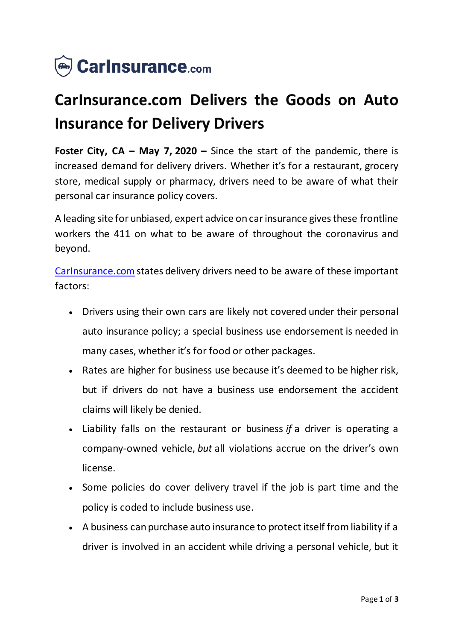

## **CarInsurance.com Delivers the Goods on Auto Insurance for Delivery Drivers**

**Foster City, CA – May 7, 2020 –** Since the start of the pandemic, there is increased demand for delivery drivers. Whether it's for a restaurant, grocery store, medical supply or pharmacy, drivers need to be aware of what their personal car insurance policy covers.

A leading site for unbiased, expert advice on car insurance gives these frontline workers the 411 on what to be aware of throughout the coronavirus and beyond.

[CarInsurance.com](https://www.carinsurance.com/) states delivery drivers need to be aware of these important factors:

- Drivers using their own cars are likely not covered under their personal auto insurance policy; a special business use endorsement is needed in many cases, whether it's for food or other packages.
- Rates are higher for business use because it's deemed to be higher risk, but if drivers do not have a business use endorsement the accident claims will likely be denied.
- Liability falls on the restaurant or business *if* a driver is operating a company-owned vehicle, *but* all violations accrue on the driver's own license.
- Some policies do cover delivery travel if the job is part time and the policy is coded to include business use.
- A business can purchase auto insurance to protect itself from liability if a driver is involved in an accident while driving a personal vehicle, but it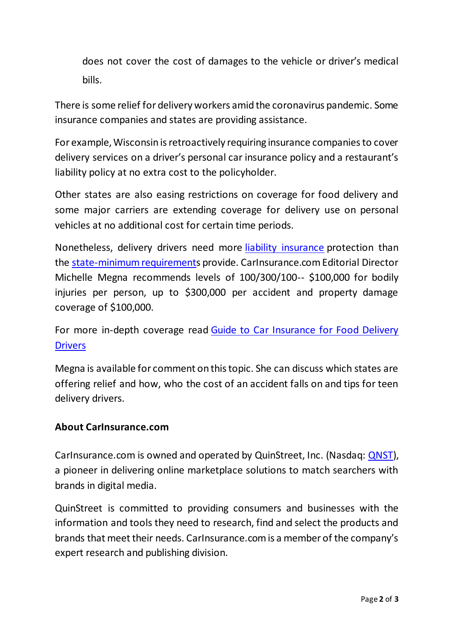does not cover the cost of damages to the vehicle or driver's medical bills.

There is some relief for delivery workers amid the coronavirus pandemic. Some insurance companies and states are providing assistance.

For example, Wisconsin is retroactively requiring insurance companies to cover delivery services on a driver's personal car insurance policy and a restaurant's liability policy at no extra cost to the policyholder.

Other states are also easing restrictions on coverage for food delivery and some major carriers are extending coverage for delivery use on personal vehicles at no additional cost for certain time periods.

Nonetheless, delivery drivers need more [liability insurance](https://www.carinsurance.com/coverage-definition/liability-car-insurance.aspx) protection than the [state-minimum requirements](https://www.carinsurance.com/Articles/minimum-liability-car-insurance-requirements-by-state.aspx) provide. CarInsurance.com Editorial Director Michelle Megna recommends levels of 100/300/100-- \$100,000 for bodily injuries per person, up to \$300,000 per accident and property damage coverage of \$100,000.

For more in-depth coverage read [Guide to Car Insurance for Food Delivery](https://www.carinsurance.com/delivery-driver-insurance/)  **[Drivers](https://www.carinsurance.com/delivery-driver-insurance/)** 

Megna is available for comment on this topic. She can discuss which states are offering relief and how, who the cost of an accident falls on and tips for teen delivery drivers.

## **About CarInsurance.com**

CarInsurance.com is owned and operated by QuinStreet, Inc. (Nasdaq: [QNST\)](https://www.nasdaq.com/market-activity/stocks/qnst), a pioneer in delivering online marketplace solutions to match searchers with brands in digital media.

QuinStreet is committed to providing consumers and businesses with the information and tools they need to research, find and select the products and brands that meet their needs. CarInsurance.com is a member of the company's expert research and publishing division.